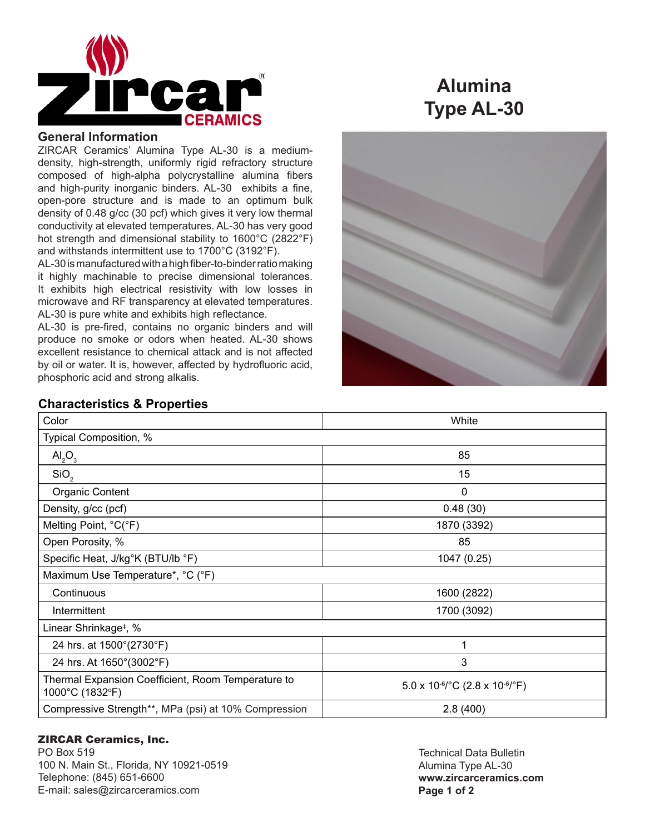

# **Alumina Type AL-30**

### **General Information**

ZIRCAR Ceramics' Alumina Type AL-30 is a mediumdensity, high-strength, uniformly rigid refractory structure composed of high-alpha polycrystalline alumina fibers and high-purity inorganic binders. AL-30 exhibits a fine, open-pore structure and is made to an optimum bulk density of 0.48 g/cc (30 pcf) which gives it very low thermal conductivity at elevated temperatures. AL-30 has very good hot strength and dimensional stability to 1600°C (2822°F) and withstands intermittent use to 1700°C (3192°F).

AL-30 is manufactured with a high fiber-to-binder ratio making it highly machinable to precise dimensional tolerances. It exhibits high electrical resistivity with low losses in microwave and RF transparency at elevated temperatures. AL-30 is pure white and exhibits high reflectance.

AL-30 is pre-fired, contains no organic binders and will produce no smoke or odors when heated. AL-30 shows excellent resistance to chemical attack and is not affected by oil or water. It is, however, affected by hydrofluoric acid, phosphoric acid and strong alkalis.



### **Characteristics & Properties**

| Color                                                                 | White                                                                     |
|-----------------------------------------------------------------------|---------------------------------------------------------------------------|
| Typical Composition, %                                                |                                                                           |
| AI <sub>2</sub> O <sub>3</sub>                                        | 85                                                                        |
| SiO <sub>2</sub>                                                      | 15                                                                        |
| <b>Organic Content</b>                                                | 0                                                                         |
| Density, g/cc (pcf)                                                   | 0.48(30)                                                                  |
| Melting Point, °C(°F)                                                 | 1870 (3392)                                                               |
| Open Porosity, %                                                      | 85                                                                        |
| Specific Heat, J/kg°K (BTU/lb °F)                                     | 1047 (0.25)                                                               |
| Maximum Use Temperature*, °C (°F)                                     |                                                                           |
| Continuous                                                            | 1600 (2822)                                                               |
| Intermittent                                                          | 1700 (3092)                                                               |
| Linear Shrinkage <sup>‡</sup> , %                                     |                                                                           |
| 24 hrs. at 1500°(2730°F)                                              | 1                                                                         |
| 24 hrs. At 1650°(3002°F)                                              | 3                                                                         |
| Thermal Expansion Coefficient, Room Temperature to<br>1000°C (1832°F) | $5.0 \times 10^{-6}$ $^{\circ}$ C (2.8 x 10 <sup>-6</sup> / $^{\circ}$ F) |
| Compressive Strength**, MPa (psi) at 10% Compression                  | 2.8(400)                                                                  |

### ZIRCAR Ceramics, Inc.

PO Box 519 100 N. Main St., Florida, NY 10921-0519 Telephone: (845) 651-6600 E-mail: sales@zircarceramics.com

Technical Data Bulletin Alumina Type AL-30 **www.zircarceramics.com Page 1 of 2**